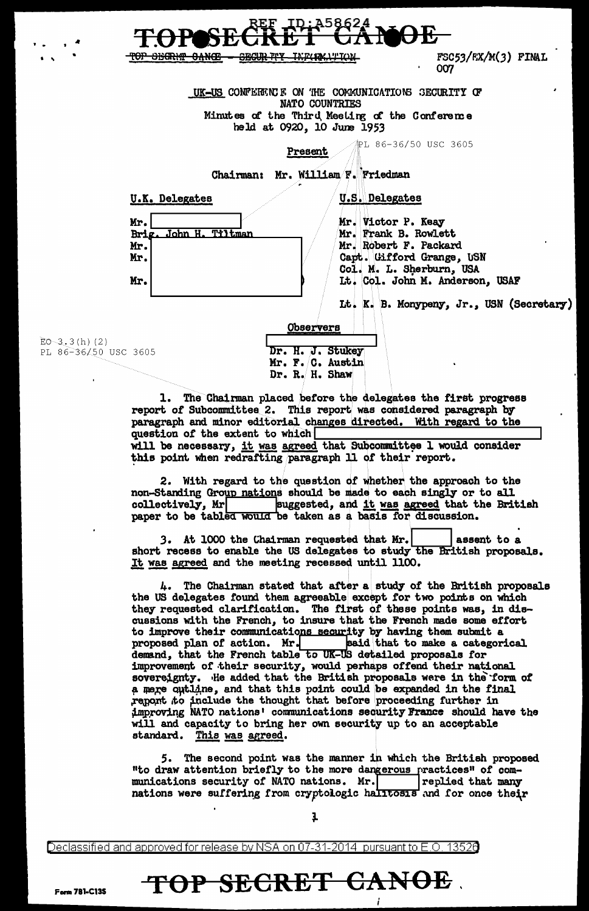TOP SHORIT CANCE **SEGUR TTY** FSC53/FX/M(3) FINAL **TYLCHAYY LOW** 007 UK-US CONFERENCE ON THE COMMUNICATIONS SECURITY OF NATO COUNTRIES Minutes of the Third Meeting of the Conference held at 0920, 10 June 1953 PL 86-36/50 USC 3605 Present Chairman: Mr. William F. Friedman **U.K. Delegates U.S. Delegates** Mr. Victor P. Keay Mr. Brig. John H. Tiltman Mr. Frank B. Rowlett Mr. Robert F. Packard Mr. Capt. Gifford Grange, USN Mr. Col. M. L. Sherburn, USA It. Col. John M. Anderson, USAF Mr. Lt. K. B. Monypeny, Jr., USN (Secretary) Observers  $EO-3.3(h)$  (2) Dr. H. J. Stukey PL 86-36/50 USC 3605 Mr. F. C. Austin Dr. R. H. Shaw

> 1. The Chairman placed before the delegates the first progress report of Subcommittee 2. This report was considered paragraph by paragraph and minor editorial changes directed. With regard to the question of the extent to which will be necessary, it was agreed that Subcommittee I would consider this point when redrafting paragraph 11 of their report.

2. With regard to the question of whether the approach to the non-Standing Group nations should be made to each singly or to all collectively, Mr suggested, and it was agreed that the British paper to be tabled would be taken as a basis for discussion.

3. At 1000 the Chairman requested that Mr. assent to a short recess to enable the US delegates to study the British proposals. It was agreed and the meeting recessed until 1100.

The Chairman stated that after a study of the British proposals the US delegates found them agreeable except for two points on which they requested clarification. The first of these points was, in discussions with the French, to insure that the French made some effort to improve their communications security by having them submit a proposed plan of action. Mr. said that to make a categorical demand, that the French table to UK-US detailed proposals for improvement of their security, would perhaps offend their national sovereignty. He added that the British proposals were in the form of a mere outline, and that this point could be expanded in the final report to include the thought that before proceeding further in improving NATO nations' communications security France should have the will and capacity to bring her own security up to an acceptable standard. This was agreed.

5. The second point was the manner in which the British proposed "to draw attention briefly to the more dangerous practices" of communications security of NATO nations. Mr. replied that many nations were suffering from cryptologic halltosis and for once their

Declassified and approved for release by NSA on 07-31-2014 pursuant to E.O. 13520

## TOP SECRET CANOE

ı